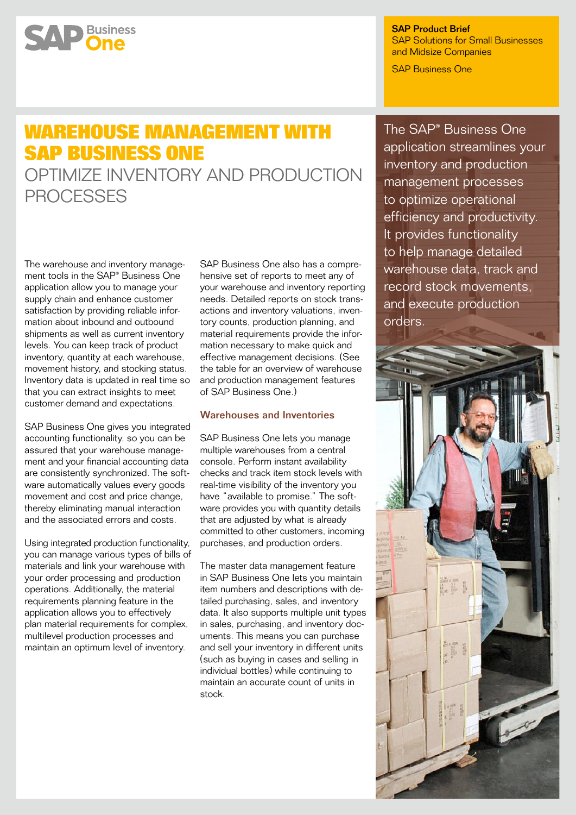# **SAP** Business

SAP Product Brief SAP Solutions for Small Businesses and Midsize Companies

SAP Business One

## **Warehouse Management with SAP Business One**

Optimize Inventory and Production **PROCESSES** 

The warehouse and inventory management tools in the SAP® Business One application allow you to manage your supply chain and enhance customer satisfaction by providing reliable information about inbound and outbound shipments as well as current inventory levels. You can keep track of product inventory, quantity at each warehouse, movement history, and stocking status. Inventory data is updated in real time so that you can extract insights to meet customer demand and expectations.

SAP Business One gives you integrated accounting functionality, so you can be assured that your warehouse management and your financial accounting data are consistently synchronized. The software automatically values every goods movement and cost and price change, thereby eliminating manual interaction and the associated errors and costs.

Using integrated production functionality, you can manage various types of bills of materials and link your warehouse with your order processing and production operations. Additionally, the material requirements planning feature in the application allows you to effectively plan material requirements for complex, multilevel production processes and maintain an optimum level of inventory.

SAP Business One also has a comprehensive set of reports to meet any of your warehouse and inventory reporting needs. Detailed reports on stock transactions and inventory valuations, inventory counts, production planning, and material requirements provide the information necessary to make quick and effective management decisions. (See the table for an overview of warehouse and production management features of SAP Business One.)

### Warehouses and Inventories

SAP Business One lets you manage multiple warehouses from a central console. Perform instant availability checks and track item stock levels with real-time visibility of the inventory you have "available to promise." The software provides you with quantity details that are adjusted by what is already committed to other customers, incoming purchases, and production orders.

The master data management feature in SAP Business One lets you maintain item numbers and descriptions with detailed purchasing, sales, and inventory data. It also supports multiple unit types in sales, purchasing, and inventory documents. This means you can purchase and sell your inventory in different units (such as buying in cases and selling in individual bottles) while continuing to maintain an accurate count of units in stock.

The SAP® Business One application streamlines your inventory and production management processes to optimize operational efficiency and productivity. It provides functionality to help manage detailed warehouse data, track and record stock movements, and execute production orders.

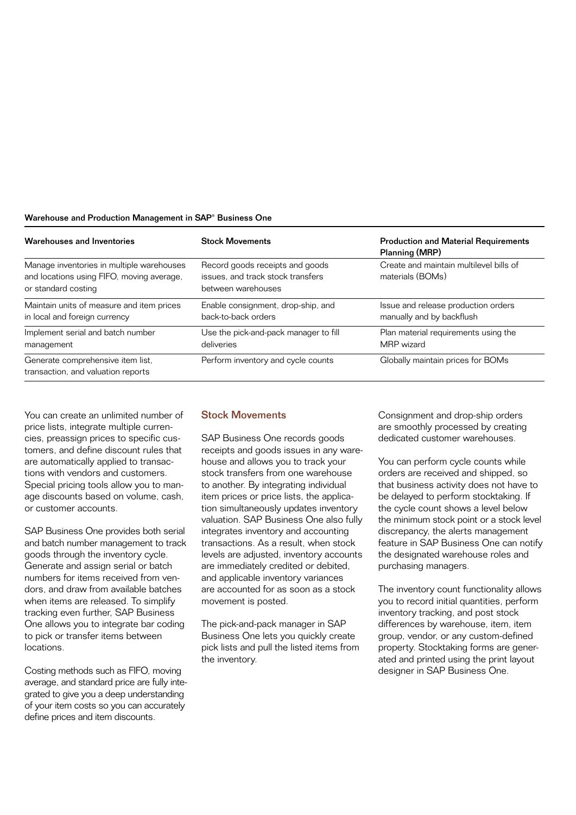### Warehouse and Production Management in SAP<sup>®</sup> Business One

| Warehouses and Inventories                                                                                    | <b>Stock Movements</b>                                                                     | <b>Production and Material Requirements</b><br>Planning (MRP)    |
|---------------------------------------------------------------------------------------------------------------|--------------------------------------------------------------------------------------------|------------------------------------------------------------------|
| Manage inventories in multiple warehouses<br>and locations using FIFO, moving average,<br>or standard costing | Record goods receipts and goods<br>issues, and track stock transfers<br>between warehouses | Create and maintain multilevel bills of<br>materials (BOMs)      |
| Maintain units of measure and item prices<br>in local and foreign currency                                    | Enable consignment, drop-ship, and<br>back-to-back orders                                  | Issue and release production orders<br>manually and by backflush |
| Implement serial and batch number<br>management                                                               | Use the pick-and-pack manager to fill<br>deliveries                                        | Plan material requirements using the<br>MRP wizard               |
| Generate comprehensive item list,<br>transaction, and valuation reports                                       | Perform inventory and cycle counts                                                         | Globally maintain prices for BOMs                                |

You can create an unlimited number of price lists, integrate multiple currencies, preassign prices to specific customers, and define discount rules that are automatically applied to transactions with vendors and customers. Special pricing tools allow you to manage discounts based on volume, cash, or customer accounts.

SAP Business One provides both serial and batch number management to track goods through the inventory cycle. Generate and assign serial or batch numbers for items received from vendors, and draw from available batches when items are released. To simplify tracking even further, SAP Business One allows you to integrate bar coding to pick or transfer items between locations.

Costing methods such as FIFO, moving average, and standard price are fully integrated to give you a deep understanding of your item costs so you can accurately define prices and item discounts.

### Stock Movements

SAP Business One records goods receipts and goods issues in any warehouse and allows you to track your stock transfers from one warehouse to another. By integrating individual item prices or price lists, the application simultaneously updates inventory valuation. SAP Business One also fully integrates inventory and accounting transactions. As a result, when stock levels are adjusted, inventory accounts are immediately credited or debited, and applicable inventory variances are accounted for as soon as a stock movement is posted.

The pick-and-pack manager in SAP Business One lets you quickly create pick lists and pull the listed items from the inventory.

Consignment and drop-ship orders are smoothly processed by creating dedicated customer warehouses.

You can perform cycle counts while orders are received and shipped, so that business activity does not have to be delayed to perform stocktaking. If the cycle count shows a level below the minimum stock point or a stock level discrepancy, the alerts management feature in SAP Business One can notify the designated warehouse roles and purchasing managers.

The inventory count functionality allows you to record initial quantities, perform inventory tracking, and post stock differences by warehouse, item, item group, vendor, or any custom-defined property. Stocktaking forms are generated and printed using the print layout designer in SAP Business One.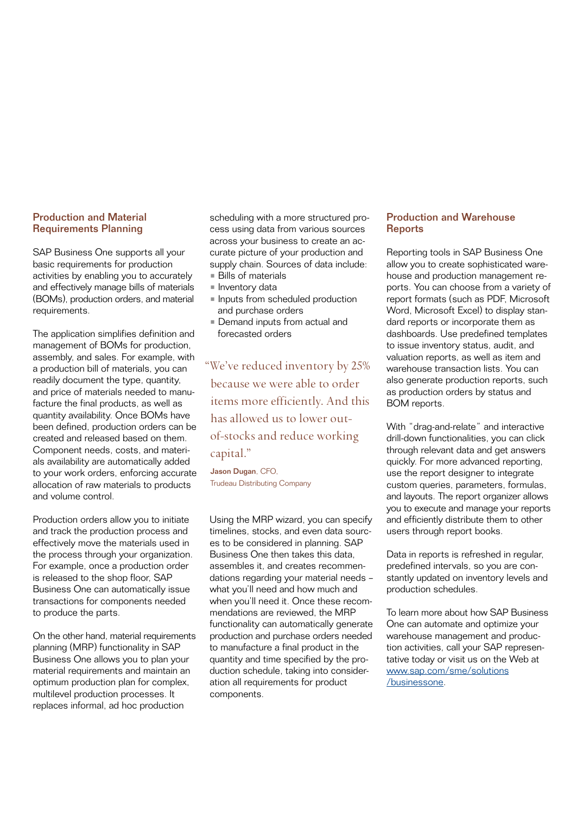### Production and Material Requirements Planning

SAP Business One supports all your basic requirements for production activities by enabling you to accurately and effectively manage bills of materials (BOMs), production orders, and material requirements.

The application simplifies definition and management of BOMs for production, assembly, and sales. For example, with a production bill of materials, you can readily document the type, quantity, and price of materials needed to manufacture the final products, as well as quantity availability. Once BOMs have been defined, production orders can be created and released based on them. Component needs, costs, and materials availability are automatically added to your work orders, enforcing accurate allocation of raw materials to products and volume control.

Production orders allow you to initiate and track the production process and effectively move the materials used in the process through your organization. For example, once a production order is released to the shop floor, SAP Business One can automatically issue transactions for components needed to produce the parts.

On the other hand, material requirements planning (MRP) functionality in SAP Business One allows you to plan your material requirements and maintain an optimum production plan for complex, multilevel production processes. It replaces informal, ad hoc production

scheduling with a more structured process using data from various sources across your business to create an accurate picture of your production and supply chain. Sources of data include: • Bills of materials

- 
- **Inventory data**
- Inputs from scheduled production and purchase orders
- Demand inputs from actual and forecasted orders

"We've reduced inventory by 25% because we were able to order items more efficiently. And this has allowed us to lower outof-stocks and reduce working capital."

Jason Dugan, CFO, Trudeau Distributing Company

Using the MRP wizard, you can specify timelines, stocks, and even data sources to be considered in planning. SAP Business One then takes this data, assembles it, and creates recommendations regarding your material needs – what you'll need and how much and when you'll need it. Once these recommendations are reviewed, the MRP functionality can automatically generate production and purchase orders needed to manufacture a final product in the quantity and time specified by the production schedule, taking into consideration all requirements for product components.

### Production and Warehouse **Reports**

Reporting tools in SAP Business One allow you to create sophisticated warehouse and production management reports. You can choose from a variety of report formats (such as PDF, Microsoft Word, Microsoft Excel) to display standard reports or incorporate them as dashboards. Use predefined templates to issue inventory status, audit, and valuation reports, as well as item and warehouse transaction lists. You can also generate production reports, such as production orders by status and BOM reports.

With "drag-and-relate" and interactive drill-down functionalities, you can click through relevant data and get answers quickly. For more advanced reporting, use the report designer to integrate custom queries, parameters, formulas, and layouts. The report organizer allows you to execute and manage your reports and efficiently distribute them to other users through report books.

Data in reports is refreshed in regular, predefined intervals, so you are constantly updated on inventory levels and production schedules.

To learn more about how SAP Business One can automate and optimize your warehouse management and production activities, call your SAP representative today or visit us on the Web at [www.sap.com/sme/solutions](www.sap.com/sme/solutions /businessone) [/businessone](www.sap.com/sme/solutions /businessone).